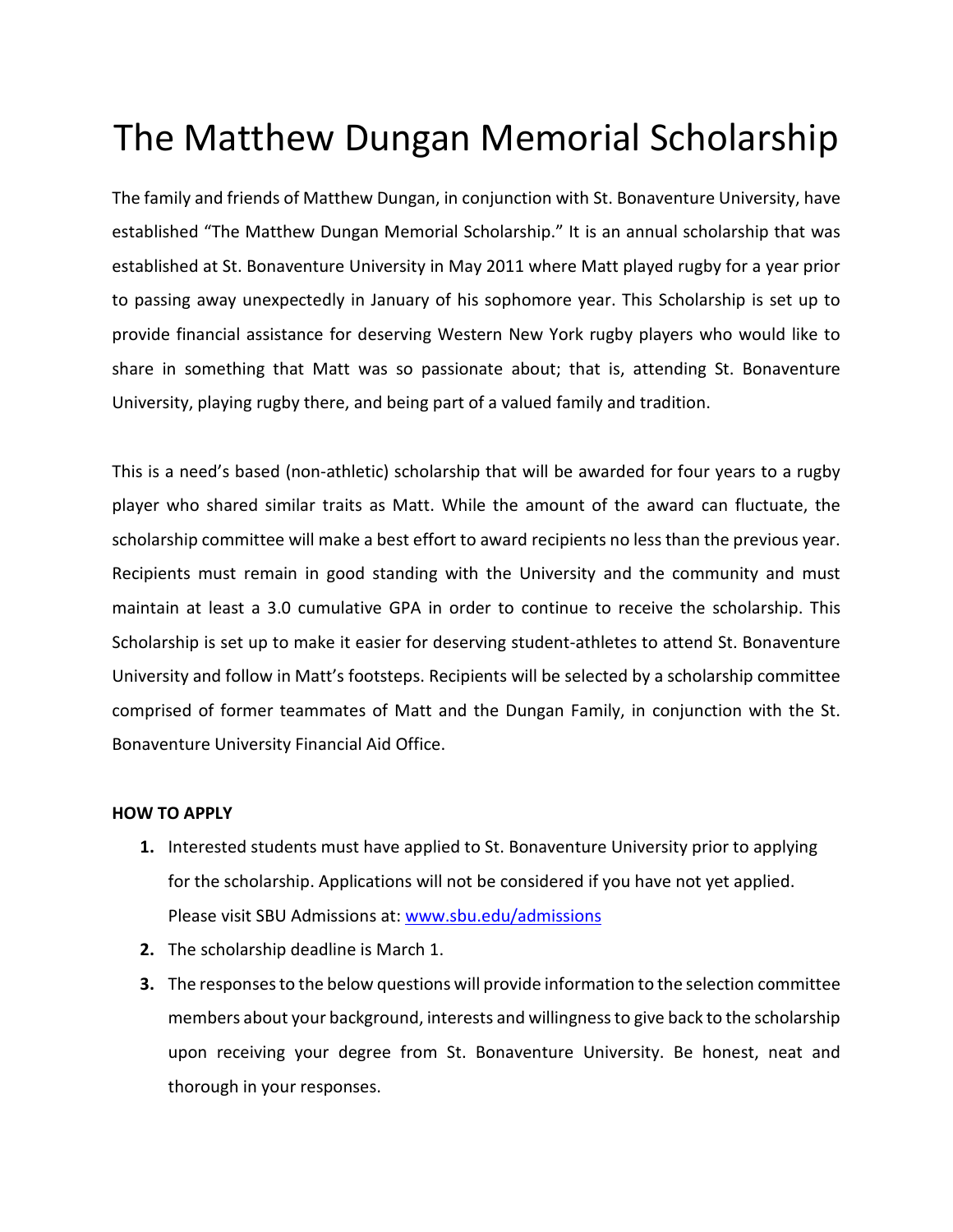## The Matthew Dungan Memorial Scholarship

The family and friends of Matthew Dungan, in conjunction with St. Bonaventure University, have established "The Matthew Dungan Memorial Scholarship." It is an annual scholarship that was established at St. Bonaventure University in May 2011 where Matt played rugby for a year prior to passing away unexpectedly in January of his sophomore year. This Scholarship is set up to provide financial assistance for deserving Western New York rugby players who would like to share in something that Matt was so passionate about; that is, attending St. Bonaventure University, playing rugby there, and being part of a valued family and tradition.

This is a need's based (non-athletic) scholarship that will be awarded for four years to a rugby player who shared similar traits as Matt. While the amount of the award can fluctuate, the scholarship committee will make a best effort to award recipients no less than the previous year. Recipients must remain in good standing with the University and the community and must maintain at least a 3.0 cumulative GPA in order to continue to receive the scholarship. This Scholarship is set up to make it easier for deserving student-athletes to attend St. Bonaventure University and follow in Matt's footsteps. Recipients will be selected by a scholarship committee comprised of former teammates of Matt and the Dungan Family, in conjunction with the St. Bonaventure University Financial Aid Office.

## **HOW TO APPLY**

- **1.** Interested students must have applied to St. Bonaventure University prior to applying for the scholarship. Applications will not be considered if you have not yet applied. Please visit SBU Admissions at: www.sbu.edu/admissions
- **2.** The scholarship deadline is March 1.
- **3.** The responses to the below questions will provide information to the selection committee members about your background, interests and willingness to give back to the scholarship upon receiving your degree from St. Bonaventure University. Be honest, neat and thorough in your responses.